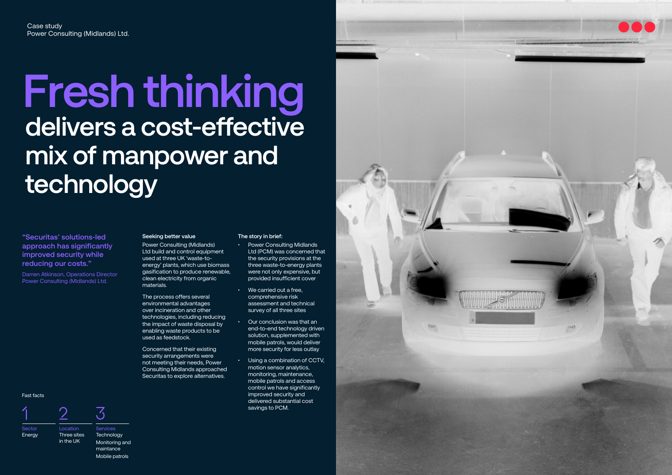# **Seeking better value**

Power Consulting (Midlands) Ltd build and control equipment used at three UK 'waste-toenergy' plants, which use biomass gasification to produce renewable, clean electricity from organic materials.

The process offers several environmental advantages over incineration and other technologies, including reducing the impact of waste disposal by enabling waste products to be used as feedstock.

Concerned that their existing security arrangements were not meeting their needs, Power Consulting Midlands approached Securitas to explore alternatives.

### **The story in brief:**

- Power Consulting Midlands Ltd (PCM) was concerned that the security provisions at the three waste-to-energy plants were not only expensive, but provided insufficient cover
- We carried out a free, comprehensive risk assessment and technical survey of all three sites
- Our conclusion was that an end-to-end technology driven solution, supplemented with mobile patrols, would deliver more security for less outlay
- Using a combination of CCTV, motion sensor analytics, monitoring, maintenance, mobile patrols and access control we have significantly improved security and delivered substantial cost savings to PCM.



**"Securitas' solutions-led approach has significantly improved security while reducing our costs."** 

Darren Atkinson, Operations Director Power Consulting (Midlands) Ltd.

# **Fresh thinking delivers a cost-effective mix of manpower and technology**

#### Fast facts



Sector **Energy** 

Location Three sites in the UK

## Services **Technology** Monitoring and maintance Mobile patrols

 $\overline{\mathcal{S}}$